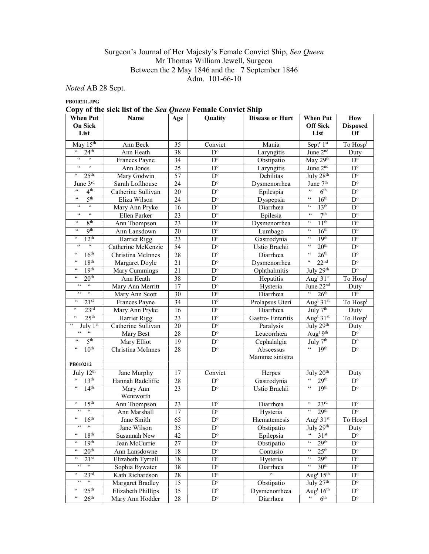## Surgeon's Journal of Her Majesty's Female Convict Ship, Sea Queen Mr Thomas William Jewell, Surgeon Between the 2 May 1846 and the 7 September 1846 Adm. 101-66-10

Noted AB 28 Sept.

PB010211.JPG

Copy of the sick list of the Sea Queen Female Convict Ship

| When Put                                                          | Name               | Age             | Quality                 | <b>Disease or Hurt</b> | <b>When Put</b>                                          |                         |  |  |
|-------------------------------------------------------------------|--------------------|-----------------|-------------------------|------------------------|----------------------------------------------------------|-------------------------|--|--|
| On Sick                                                           |                    |                 |                         |                        | <b>Off Sick</b>                                          | <b>Disposed</b>         |  |  |
| List                                                              |                    |                 |                         |                        | List                                                     | <b>Of</b>               |  |  |
| May 15th                                                          | Ann Beck           | 35              | Convict                 | Mania                  | Sept <sup>r</sup> 1st                                    | To Hosp <sup>1</sup>    |  |  |
| $\zeta\,\zeta$<br>24 <sup>th</sup>                                | Ann Heath          | 38              | $D^{\circ}$             | Laryngitis             | June 2 <sup>nd</sup>                                     | Duty                    |  |  |
| $\zeta\,\zeta$<br>$\zeta\,\zeta$                                  | Frances Payne      | 34              | $D^{\circ}$             | Obstipatio             | May 29th                                                 | $D^{\circ}$             |  |  |
| $\zeta\,\zeta$<br>$\zeta\,\zeta$                                  | Ann Jones          | $\overline{25}$ | $\overline{D^{\circ}}$  | Laryngitis             | June 2 <sup>nd</sup>                                     | $\mathbf{D}^{\text{o}}$ |  |  |
| 25 <sup>th</sup><br>66                                            | Mary Godwin        | 57              | $\mathbf{D}^{\text{o}}$ | Debilitas              | July 28 <sup>th</sup>                                    | $D^{\circ}$             |  |  |
| June $3rd$                                                        | Sarah Lofthouse    | 24              | $D^{\rm o}$             | Dysmenorrhea           | June 7 <sup>th</sup>                                     | $\mathbf{D}^{\text{o}}$ |  |  |
| $\zeta\,\zeta$<br>4 <sup>th</sup>                                 | Catherine Sullivan | 20              | $\mathbf{D}^{\text{o}}$ | Epilespia              | $\epsilon\epsilon$<br>6 <sup>th</sup>                    | $D^{\circ}$             |  |  |
| 5 <sup>th</sup><br>$\zeta\,\zeta$                                 | Eliza Wilson       | 24              | $D^{\circ}$             | Dyspepsia              | $\epsilon\epsilon$<br>16 <sup>th</sup>                   | $\mathbf{D}^{\text{o}}$ |  |  |
| $\overline{\mathfrak{c}}$<br>$\zeta\,\zeta$                       | Mary Ann Pryke     | 16              | $\mathbf{D}^{\text{o}}$ | Diarrhœa               | $\zeta\,\zeta$<br>13 <sup>th</sup>                       | $\mathbf{D}^{\text{o}}$ |  |  |
| $\zeta\,\zeta$<br>$\zeta\,\zeta$                                  | Ellen Parker       | $\overline{23}$ | $\mathbf{D}^{\text{o}}$ | Epilesia               | 7 <sup>th</sup><br>$\zeta\,\zeta$                        | $\overline{D^{\circ}}$  |  |  |
| 8 <sup>th</sup><br>$\zeta\,\zeta$                                 | Ann Thompson       | 23              | $D^{\circ}$             | Dysmenorrhea           | $\zeta\,\zeta$<br>11 <sup>th</sup>                       | $\mathbf{D}^{\text{o}}$ |  |  |
| <b>9th</b><br>$\zeta\,\zeta$                                      | Ann Lansdown       | 20              | $D^{\circ}$             | Lumbago                | $\mathfrak{c}\mathfrak{c}$<br>16 <sup>th</sup>           | $\mathbf{D}^{\text{o}}$ |  |  |
| 12 <sup>th</sup><br>$\zeta \, \zeta$                              | Harriet Rigg       | 23              | $\mathbf{D}^{\text{o}}$ | Gastrodynia            | $\zeta\,\zeta$<br>19 <sup>th</sup>                       | $\mathbf{D}^{\text{o}}$ |  |  |
| $\epsilon\,\epsilon$<br>$\zeta\,\zeta$                            | Catherine McKenzie | $\overline{54}$ | $D^{\circ}$             | Ustio Brachii          | $\zeta\,\zeta$<br>20 <sup>th</sup>                       | $D^{\circ}$             |  |  |
| $\zeta$ $\zeta$<br>16 <sup>th</sup>                               | Christina McInnes  | 28              | $D^{\circ}$             | Diarrhœa               | $\overline{\mathfrak{c}}$<br>26 <sup>th</sup>            | $\mathbf{D}^{\text{o}}$ |  |  |
| $\zeta\,\zeta$<br>18 <sup>th</sup>                                | Margaret Doyle     | 21              | $D^{\circ}$             | Dysmenorrhea           | $\epsilon\epsilon$<br>22 <sup>nd</sup>                   | $\mathbf{D}^{\text{o}}$ |  |  |
| $\zeta$ $\zeta$<br>19 <sup>th</sup>                               | Mary Cummings      | 21              | $\mathbf{D}^{\text{o}}$ | Ophthalmitis           | July $29th$                                              | $\overline{D^{\circ}}$  |  |  |
| 20 <sup>th</sup><br>$\zeta\,\zeta$                                | Ann Heath          | 38              | $\mathbf{D}^{\text{o}}$ | Hepatitis              | Aug <sup>t</sup> 31st                                    | To Hosp <sup>1</sup>    |  |  |
| $\zeta \, \zeta$<br>$\zeta\,\zeta$                                | Mary Ann Merritt   | 17              | $\mathbf{D}^{\text{o}}$ | Hysteria               | June $22^{\overline{nd}}$                                | Duty                    |  |  |
| $\epsilon\epsilon$<br>$\zeta\,\zeta$                              | Mary Ann Scott     | 30              | $D^{\circ}$             | Diarrhœa               | $\overline{66}$<br>26 <sup>th</sup>                      | $\overline{D^{\circ}}$  |  |  |
| $\zeta\,\zeta$<br>21 <sup>st</sup>                                | Frances Payne      | 34              | $\mathbf{D}^{\text{o}}$ | Prolapsus Uteri        | Aug <sup>t</sup> 31st                                    | To Hosp <sup>1</sup>    |  |  |
| 23 <sup>rd</sup><br>$\zeta \, \zeta$                              | Mary Ann Pryke     | 16              | $D^{\circ}$             | Diarrhœa               | July 7 <sup>th</sup>                                     | Duty                    |  |  |
| $\mathsf{c}\,\mathsf{c}$<br>25 <sup>th</sup>                      | Harriet Rigg       | 23              | $D^{\circ}$             | Gastro-Enteritis       | Aug <sup>t</sup> $31st$                                  | To Hosp <sup>1</sup>    |  |  |
| $\mathsf{c}\,\mathsf{c}$<br>July $1st$                            | Catherine Sullivan | 20              | $D^{\circ}$             | Paralysis              | July $29^{\overline{th}}$                                | Duty                    |  |  |
| $\epsilon\,\epsilon$<br>$\zeta\,\zeta$                            | Mary Best          | 28              | $D^{\circ}$             | Leucorrhœa             | Aug <sup>t 9th</sup>                                     | $\mathbf{D}^{\text{o}}$ |  |  |
| 5 <sup>th</sup><br>$\epsilon\epsilon$                             | Mary Elliot        | 19              | $D^{\circ}$             | Cephalalgia            | July $7th$                                               | $D^{\circ}$             |  |  |
| 10 <sup>th</sup><br>$\zeta\,\zeta$                                | Christina McInnes  | 28              | $D^{\circ}$             | Abscessus              | 19 <sup>th</sup><br>$66 -$                               | $D^{\circ}$             |  |  |
|                                                                   |                    |                 |                         | Mammæ sinistra         |                                                          |                         |  |  |
| PB010212                                                          |                    |                 |                         |                        |                                                          |                         |  |  |
| July $12th$                                                       | Jane Murphy        | 17              | Convict                 | Herpes                 | July $20th$                                              | Duty                    |  |  |
| $\boldsymbol{\varsigma}$<br>13 <sup>th</sup>                      | Hannah Radcliffe   | 28              | $D^{\circ}$             | Gastrodynia            | $\overline{\mathfrak{c}}$<br>29 <sup>th</sup>            | $D^{\circ}$             |  |  |
| 14 <sup>th</sup><br>$\zeta\,\zeta$                                | Mary Ann           | 23              | $\mathbf{D}^{\text{o}}$ | Ustio Brachii          | 19 <sup>th</sup><br>$\zeta\,\zeta$                       | $\mathbf{D}^{\text{o}}$ |  |  |
|                                                                   | Wentworth          |                 |                         |                        |                                                          |                         |  |  |
| 15 <sup>th</sup><br>$\zeta \, \zeta$                              | Ann Thompson       | 23              | $\mathbf{D}^{\text{o}}$ | Diarrhœa               | $23^{\text{rd}}$<br>$\mathsf{G}\mathsf{G}$               | $D^{\circ}$             |  |  |
| $\zeta \, \zeta$<br>$\boldsymbol{\zeta} \, \boldsymbol{\zeta}$    | Ann Marshall       | 17              | $D^{\circ}$             | Hysteria               | $\zeta \, \zeta$<br>29 <sup>th</sup>                     | $D^{\circ}$             |  |  |
| $\mathsf{c}\,\mathsf{c}$<br>16 <sup>th</sup>                      | Jane Smith         | 65              | $D^{\circ}$             | Hæmatemesis            | Aug <sup>t</sup> $31st$                                  | To Hospl                |  |  |
| $\epsilon\, \epsilon$<br>$\epsilon\epsilon$                       | Jane Wilson        | $\overline{35}$ | $\mathbf{D}^{\text{o}}$ | Obstipatio             | July 29th                                                | Duty                    |  |  |
| 18 <sup>th</sup><br>$\zeta \, \zeta$                              | Susannah New       | 42              | $D^{\circ}$             | Epilepsia              | $\mathsf{c}\,\mathsf{c}$<br>31 <sup>st</sup>             | $D^{\circ}$             |  |  |
| $\zeta \, \zeta$<br>19 <sup>th</sup>                              | Jean McCurrie      | 27              | $\mathbf{D}^{\text{o}}$ | Obstipatio             | $\zeta\,\zeta$<br>29 <sup>th</sup>                       | $D^{\circ}$             |  |  |
| $\,$ 6 6 $\,$<br>20 <sup>th</sup>                                 | Ann Lansdowne      | 18              | $\mathbf{D}^{\text{o}}$ | Contusio               | $\epsilon\epsilon$<br>25 <sup>th</sup>                   | $D^{\circ}$             |  |  |
| $\zeta\,\zeta$<br>21 <sup>st</sup>                                | Elizabeth Tyrrell  | 18              | $D^{\circ}$             | Hysteria               | 29 <sup>th</sup><br>$\mathfrak{c}\mathfrak{c}$           | $D^{\circ}$             |  |  |
| $\overline{\mathfrak{c}}$<br>$\mathcal{C}\mathcal{C}$             | Sophia Bywater     | 38              | $\mathbf{D}^{\text{o}}$ | Diarrhœa               | $\epsilon\epsilon$<br>30 <sup>th</sup>                   | $\mathbf{D}^{\text{o}}$ |  |  |
| $\mathsf{c}\,\mathsf{c}$<br>23 <sup>rd</sup>                      | Kath Richardson    | 28              | $\mathbf{D}^{\text{o}}$ | $\epsilon\epsilon$     | Aug <sup>t</sup> $15th$                                  | $\mathbf{D}^{\text{o}}$ |  |  |
| $\overline{\mathfrak{c}\mathfrak{c}}$<br>$\mathsf{c}\,\mathsf{c}$ | Margaret Bradley   | 15              | $D^{\circ}$             | Obstipatio             | July $27th$                                              | $\mathbf{D}^{\text{o}}$ |  |  |
| 25 <sup>th</sup><br>$\epsilon\epsilon$                            | Elizabeth Phillips | 35              | $D^{\circ}$             | Dysmenorrhœa           | Aug <sup>t</sup> $16^{\text{th}}$                        | $D^{\circ}$             |  |  |
| 26 <sup>th</sup><br>66                                            | Mary Ann Hodder    | 28              | $\mathbf{D}^{\text{o}}$ | Diarrhœa               | $\overline{\mathfrak{c}\mathfrak{c}}$<br>6 <sup>th</sup> | $\mathbf{D}^{\text{o}}$ |  |  |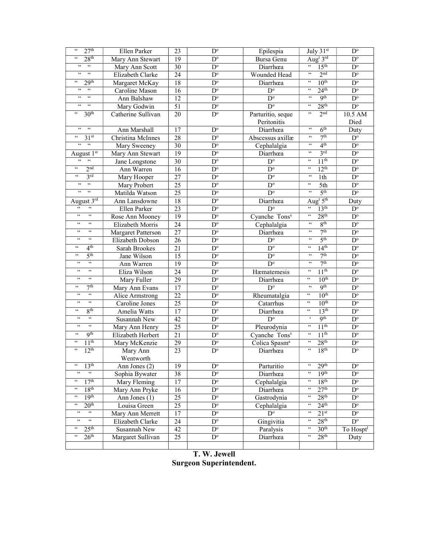| 27 <sup>th</sup><br>$\mathsf{G}\,\mathsf{G}$                        | Ellen Parker              | 23              | $D^{\circ}$             | Epilespia                 | July 31st                                         | $D^{\circ}$             |
|---------------------------------------------------------------------|---------------------------|-----------------|-------------------------|---------------------------|---------------------------------------------------|-------------------------|
| 28 <sup>th</sup><br>$\zeta\,\zeta$                                  | Mary Ann Stewart          | 19              | $\mathbf{D}^{\text{o}}$ | Bursa Genu                | Aug <sup>t</sup> 3rd                              | $D^{\circ}$             |
| $\boldsymbol{\zeta} \, \boldsymbol{\zeta}$<br>$\zeta\,\zeta$        | Mary Ann Scott            | 30              | $\mathbf{D}^{\text{o}}$ | Diarrhœa                  | $\epsilon\,\epsilon$<br>15 <sup>th</sup>          | $D^{\circ}$             |
| $\epsilon\epsilon$<br>$\zeta\,\zeta$                                | Elizabeth Clarke          | 24              | $\mathbf{D}^{\text{o}}$ | Wounded Head              | 2 <sup>nd</sup><br>$\mathsf{c}\,\mathsf{c}$       | $\mathbf{D}^{\text{o}}$ |
| 29 <sup>th</sup><br>66                                              | Margaret McKay            | 18              | $\mathbf{D}^{\text{o}}$ | Diarrhœa                  | 10 <sup>th</sup><br>$\zeta\,\zeta$                | $D^{\circ}$             |
| $\overline{\mathfrak{c}\mathfrak{c}}$<br>$\mathfrak{c}\mathfrak{c}$ | Caroline Mason            | 16              | $D^{\circ}$             | $\overline{D^{\circ}}$    | $\zeta\zeta$<br>24 <sup>th</sup>                  | $D^{\circ}$             |
| 66<br>66                                                            | Ann Balshaw               | 12              | $\overline{D^{\circ}}$  | $D^{\circ}$               | $\zeta\zeta$<br><b>9th</b>                        | $\overline{D^{\circ}}$  |
| $\epsilon$<br>$\epsilon\epsilon$                                    | Mary Godwin               | 51              | $D^{\circ}$             | $\overline{D^{\circ}}$    | $\mathfrak{c}\mathfrak{c}$<br>28 <sup>th</sup>    | $D^{\circ}$             |
| 30 <sup>th</sup><br>$\zeta\,\zeta$                                  | Catherine Sullivan        | 20              | $\mathbf{D}^{\text{o}}$ | Parturitio, seque         | $\mathfrak{c}\mathfrak{c}$<br>2 <sup>nd</sup>     | $10.5$ AM               |
|                                                                     |                           |                 |                         | Peritonitis               |                                                   | Died                    |
| $\epsilon\,\epsilon$<br>$\epsilon\epsilon$                          | Ann Marshall              | 17              | $D^{\circ}$             | Diarrhœa                  | $\zeta\,\zeta$<br>6 <sup>th</sup>                 | Duty                    |
| $\zeta\,\zeta$<br>31 <sup>st</sup>                                  | Christina McInnes         | 28              | $\mathbf{D}^{\text{o}}$ | Abscessus axillæ          | 7 <sup>th</sup><br>$\epsilon\,\epsilon$           | $\overline{D^{\circ}}$  |
| $66 - 66$                                                           | Mary Sweeney              | 30              | $\mathbf{D}^{\text{o}}$ | Cephalalgia               | $\epsilon\,\epsilon$<br>4 <sup>th</sup>           | $\mathbf{D}^{\text{o}}$ |
| August 1st                                                          | Mary Ann Stewart          | 19              | $\mathbf{D}^{\text{o}}$ | Diarrhœa                  | 3 <sup>rd</sup><br>$\,$ 6 $\,$                    | $\mathbf{D}^{\text{o}}$ |
| $\epsilon\,\epsilon$<br>$\zeta\,\zeta$                              | Jane Longstone            | 30              | $\mathbf{D}^{\text{o}}$ | $\mathbf{D}^{\text{o}}$   | $\zeta\,\zeta$<br>11 <sup>th</sup>                | $D^{\circ}$             |
| 2 <sup>nd</sup><br>$\zeta\,\zeta$                                   | Ann Warren                | 16              | $\mathbf{D}^{\text{o}}$ | $\overline{D^{\circ}}$    | 12 <sup>th</sup><br>$\zeta\,\zeta$                | $\mathbf{D}^{\text{o}}$ |
| 3 <sup>rd</sup><br>$\zeta\,\zeta$                                   | Mary Hooper               | 27              | $D^{\circ}$             | $\mathbf{D}^{\text{o}}$   | $\zeta\,\zeta$<br>1th                             | $D^{\circ}$             |
| $\zeta \, \zeta$<br>$\epsilon\,\epsilon$                            | Mary Probert              | 25              | $\mathbf{D}^{\text{o}}$ | $\mathbf{D}^{\text{o}}$   | $\boldsymbol{\zeta} \, \boldsymbol{\zeta}$<br>5th | $\overline{D^o}$        |
| $\epsilon\,\epsilon$<br>$\zeta\,\zeta$                              | Matilda Watson            | 25              | $\mathbf{D}^{\text{o}}$ | $D^{\circ}$               | 5 <sup>th</sup><br>$\zeta\,\zeta$                 | $\mathbf{D}^{\text{o}}$ |
| August 3rd                                                          | Ann Lansdowne             | 18              | $\mathbf{D}^{\text{o}}$ | Diarrhœa                  | Aug <sup>t</sup> 5 <sup>th</sup>                  | Duty                    |
| $\epsilon$<br>$\zeta\,\zeta$                                        | Ellen Parker              | 23              | $\mathbf{D}^{\text{o}}$ | $D^{\circ}$               | $\zeta\,\zeta$<br>13 <sup>th</sup>                | $\mathbf{D}^{\text{o}}$ |
| $\zeta\,\zeta$<br>$\mathsf{c}\,\mathsf{c}$                          | Rose Ann Mooney           | $\overline{19}$ | $\overline{D^{\circ}}$  | Cyanche Tons <sup>s</sup> | $\zeta\,\zeta$<br>28 <sup>th</sup>                | $\overline{D^o}$        |
| $\zeta\,\zeta$<br>$\zeta\,\zeta$                                    | Elizabeth Morris          | $\overline{24}$ | $\overline{D^o}$        | Cephalalgia               | $\zeta\,\zeta$<br>8 <sup>th</sup>                 | $\mathbf{D}^{\text{o}}$ |
| $\zeta \, \zeta$<br>$\epsilon\,\epsilon$                            | <b>Margaret Patterson</b> | 27              | $\mathbf{D}^{\text{o}}$ | Diarrhœa                  | 7 <sup>th</sup><br>$\zeta \, \zeta$               | $\mathbf{D}^{\text{o}}$ |
| $\zeta\,\zeta$<br>$\zeta\,\zeta$                                    | Elizabeth Dobson          | 26              | $D^{\circ}$             | $\mathbf{D}^{\text{o}}$   | 5 <sup>th</sup><br>$\zeta \, \zeta$               | $\mathbf{D}^{\text{o}}$ |
| 4 <sup>th</sup><br>$\zeta \, \zeta$                                 | Sarah Brookes             | 21              | $\mathbf{D}^{\text{o}}$ | $\overline{D^o}$          | 14 <sup>th</sup><br>$\zeta \, \zeta$              | $\overline{D^o}$        |
| 5 <sup>th</sup><br>$\zeta\,\zeta$                                   | Jane Wilson               | 15              | $\mathbf{D}^{\text{o}}$ | $\overline{D^{\circ}}$    | 7 <sup>th</sup><br>$\zeta \, \zeta$               | $\mathbf{D}^{\text{o}}$ |
| $\zeta \, \zeta$<br>$\zeta\,\zeta$                                  | Ann Warren                | $\overline{19}$ | $\mathbf{D}^{\text{o}}$ | $D^{\circ}$               | 7 <sup>th</sup><br>$\mbox{\bf 66}$                | $\mathbf{D}^{\text{o}}$ |
| $\zeta\,\zeta$<br>$\zeta \, \zeta$                                  | Eliza Wilson              | 24              | $D^{\circ}$             | Hæmatemesis               | 11 <sup>th</sup><br>$\zeta \, \zeta$              | $\mathbf{D}^{\text{o}}$ |
| $\zeta\,\zeta$<br>$\mathsf{c}\,\mathsf{c}$                          | Mary Fuller               | $\overline{29}$ | $\mathbf{D}^{\text{o}}$ | Diarrhœa                  | $\zeta\,\zeta$<br>10 <sup>th</sup>                | $\mathbf{D}^{\text{o}}$ |
| $\zeta\,\zeta$<br>7 <sup>th</sup>                                   | Mary Ann Evans            | 17              | $\mathbf{D}^{\text{o}}$ | $D^{\circ}$               | 9 <sup>th</sup><br>$\zeta \, \zeta$               | $\mathbf{D}^{\text{o}}$ |
| $\zeta\,\zeta$<br>$\zeta\,\zeta$                                    | Alice Armstrong           | 22              | $\mathbf{D}^{\text{o}}$ | Rheumatalgia              | $\mathcal{C}\mathcal{C}$<br>10 <sup>th</sup>      | $\mathbf{D}^{\text{o}}$ |
| $\zeta \, \zeta$<br>$\zeta\,\zeta$                                  | Caroline Jones            | 25              | $\mathbf{D}^{\text{o}}$ | Catarrhus                 | $\zeta\,\zeta$<br>10 <sup>th</sup>                | $\mathbf{D}^{\text{o}}$ |
| $\zeta \, \zeta$<br>8 <sup>th</sup>                                 | Amelia Watts              | 17              | $\mathbf{D}^{\text{o}}$ | Diarrhœa                  | $\zeta\,\zeta$<br>13 <sup>th</sup>                | $D^{\circ}$             |
| $\mathsf{c}\,\mathsf{c}$<br>$\,$ 6 $\,$                             | Susannah New              | 42              | $\mathbf{D}^{\text{o}}$ | $D^{\circ}$               | 9 <sup>th</sup><br>$\boldsymbol{\varsigma}$       | $\mathbf{D}^{\text{o}}$ |
| $\zeta\,\zeta$<br>$\mathsf{c}\,\mathsf{c}$                          | Mary Ann Henry            | 25              | $\mathbf{D}^{\text{o}}$ | Pleurodynia               | 11 <sup>th</sup><br>$\zeta \, \zeta$              | $\mathbf{D}^{\text{o}}$ |
| Q <sup>th</sup><br>$\zeta\,\zeta$                                   | Elizabeth Herbert         | 21              | $\mathbf{D}^{\text{o}}$ | Cyanche Tons <sup>s</sup> | 11 <sup>th</sup><br>$\mathsf{c}\,\mathsf{c}$      | $\mathbf{D}^{\text{o}}$ |
| 11 <sup>th</sup><br>$\zeta\,\zeta$                                  | Mary McKenzie             | 29              | $\mathbf{D}^{\text{o}}$ | Colica Spasm <sup>a</sup> | 28 <sup>th</sup><br>$\zeta\,\zeta$                | $\mathbf{D}^{\text{o}}$ |
| 12 <sup>th</sup><br>$\zeta \, \zeta$                                | Mary Ann                  | 23              | $\mathbf{D}^{\text{o}}$ | Diarrhœa                  | 18 <sup>th</sup><br>$\zeta\,\zeta$                | $D^{\circ}$             |
|                                                                     | Wentworth                 |                 |                         |                           |                                                   |                         |
| 13 <sup>th</sup><br>$\epsilon\epsilon$                              | Ann Jones (2)             | 19              | $D^{\circ}$             | Parturitio                | 29 <sup>th</sup><br>$\epsilon\epsilon$            | $\mathbf{D}^{\text{o}}$ |
| $\zeta \, \zeta$<br>$\mathfrak{c}\mathfrak{c}$                      | Sophia Bywater            | 38              | $D^{\circ}$             | Diarrhœa                  | 19 <sup>th</sup><br>$\mathsf{c}\,\mathsf{c}$      | $\mathbf{D}^{\text{o}}$ |
| 17 <sup>th</sup><br>$\epsilon\epsilon$                              | Mary Fleming              | 17              | $\mathbf{D}^{\text{o}}$ | Cephalalgia               | 18 <sup>th</sup><br>$\mathsf{c}\,\mathsf{c}$      | $\mathbf{D}^{\text{o}}$ |
| 18 <sup>th</sup><br>$\zeta\,\zeta$                                  | Mary Ann Pryke            | 16              | $D^{\circ}$             | Diarrhœa                  | 27 <sup>th</sup><br>$\mathsf{c}\,\mathsf{c}$      | $D^{\circ}$             |
| 19 <sup>th</sup><br>$\zeta\,\zeta$                                  | Ann Jones (1)             | 25              | $\mathbf{D}^{\text{o}}$ | Gastrodynia               | 28 <sup>th</sup><br>$\epsilon\epsilon$            | $\mathbf{D}^{\text{o}}$ |
| 20 <sup>th</sup><br>$\mathsf{G}\,\mathsf{G}$                        | Louisa Green              | 25              | $\mathbf{D}^{\text{o}}$ | Cephalalgia               | 24 <sup>th</sup><br>$\mathsf{c}\,\mathsf{c}$      | $D^{\circ}$             |
| $\zeta\,\zeta$<br>$\zeta\,\zeta$                                    | Mary Ann Merrett          | 17              | $\mathbf{D}^{\text{o}}$ | $D^{\circ}$               | $\zeta\,\zeta$<br>21 <sup>st</sup>                | $\mathbf{D}^{\text{o}}$ |
| $\zeta\,\zeta$<br>$\mathfrak{c}\mathfrak{c}$                        | Elizabeth Clarke          | 24              | $\mathbf{D}^{\text{o}}$ | Gingivitia                | $\mathsf{c}\,\mathsf{c}$<br>28 <sup>th</sup>      | $D^{\circ}$             |
| 25 <sup>th</sup><br>66                                              | Susannah New              | 42              | $D^{\circ}$             | Paralysis                 | $\zeta\,\zeta$<br>30 <sup>th</sup>                | To Hospt <sup>1</sup>   |
| $\zeta\,\zeta$<br>26 <sup>th</sup>                                  | Margaret Sullivan         | 25              | $D^{\circ}$             | Diarrhœa                  | $\epsilon\epsilon$<br>28 <sup>th</sup>            | Duty                    |
|                                                                     |                           |                 |                         |                           |                                                   |                         |

T. W. Jewell Surgeon Superintendent.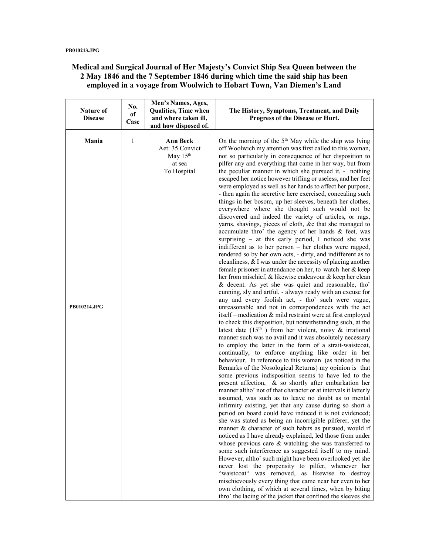# Medical and Surgical Journal of Her Majesty's Convict Ship Sea Queen between the 2 May 1846 and the 7 September 1846 during which time the said ship has been employed in a voyage from Woolwich to Hobart Town, Van Diemen's Land

| Nature of<br><b>Disease</b>  | No.<br>of<br>Case | Men's Names, Ages,<br><b>Qualities, Time when</b><br>and where taken ill,<br>and how disposed of. | The History, Symptoms, Treatment, and Daily<br>Progress of the Disease or Hurt.                                                                                                                                                                                                                                                                                                                                                                                                                                                                                                                                                                                                                                                                                                                                                                                                                                                                                                                                                                                                                                                                                                                                                                                                                                                                                                                                                                                                                                                                                                                                                                                                                                                                                                                                                                                                                                                                                                                                                                                                                                                                                                                                                                                                                                                                                                                                                                                                                                                                                                                                                                                                                                                                                                                                                                                                                                                                               |
|------------------------------|-------------------|---------------------------------------------------------------------------------------------------|---------------------------------------------------------------------------------------------------------------------------------------------------------------------------------------------------------------------------------------------------------------------------------------------------------------------------------------------------------------------------------------------------------------------------------------------------------------------------------------------------------------------------------------------------------------------------------------------------------------------------------------------------------------------------------------------------------------------------------------------------------------------------------------------------------------------------------------------------------------------------------------------------------------------------------------------------------------------------------------------------------------------------------------------------------------------------------------------------------------------------------------------------------------------------------------------------------------------------------------------------------------------------------------------------------------------------------------------------------------------------------------------------------------------------------------------------------------------------------------------------------------------------------------------------------------------------------------------------------------------------------------------------------------------------------------------------------------------------------------------------------------------------------------------------------------------------------------------------------------------------------------------------------------------------------------------------------------------------------------------------------------------------------------------------------------------------------------------------------------------------------------------------------------------------------------------------------------------------------------------------------------------------------------------------------------------------------------------------------------------------------------------------------------------------------------------------------------------------------------------------------------------------------------------------------------------------------------------------------------------------------------------------------------------------------------------------------------------------------------------------------------------------------------------------------------------------------------------------------------------------------------------------------------------------------------------------------------|
| Mania<br><b>PB010214.JPG</b> | 1                 | Ann Beck<br>Aet: 35 Convict<br>May 15th<br>at sea<br>To Hospital                                  | On the morning of the 5 <sup>th</sup> May while the ship was lying<br>off Woolwich my attention was first called to this woman,<br>not so particularly in consequence of her disposition to<br>pilfer any and everything that came in her way, but from<br>the peculiar manner in which she pursued it, - nothing<br>escaped her notice however trifling or useless, and her feet<br>were employed as well as her hands to affect her purpose,<br>- then again the secretive here exercised, concealing such<br>things in her bosom, up her sleeves, beneath her clothes,<br>everywhere where she thought such would not be<br>discovered and indeed the variety of articles, or rags,<br>yarns, shavings, pieces of cloth, &c that she managed to<br>accumulate thro' the agency of her hands & feet, was<br>surprising – at this early period, I noticed she was<br>indifferent as to her person – her clothes were ragged,<br>rendered so by her own acts, - dirty, and indifferent as to<br>cleanliness, $&$ I was under the necessity of placing another<br>female prisoner in attendance on her, to watch her & keep<br>her from mischief, & likewise endeavour & keep her clean<br>& decent. As yet she was quiet and reasonable, tho'<br>cunning, sly and artful, - always ready with an excuse for<br>any and every foolish act, - tho' such were vague,<br>unreasonable and not in correspondences with the act<br>itself – medication & mild restraint were at first employed<br>to check this disposition, but notwithstanding such, at the<br>latest date $(15th)$ from her violent, noisy & irrational<br>manner such was no avail and it was absolutely necessary<br>to employ the latter in the form of a strait-waistcoat,<br>continually, to enforce anything like order in her<br>behaviour. In reference to this woman (as noticed in the<br>Remarks of the Nosological Returns) my opinion is that<br>some previous indisposition seems to have led to the<br>present affection, & so shortly after embarkation her<br>manner altho' not of that character or at intervals it latterly<br>assumed, was such as to leave no doubt as to mental<br>infirmity existing, yet that any cause during so short a<br>period on board could have induced it is not evidenced;<br>she was stated as being an incorrigible pilferer, yet the<br>manner & character of such habits as pursued, would if<br>noticed as I have already explained, led those from under<br>whose previous care $\&$ watching she was transferred to<br>some such interference as suggested itself to my mind.<br>However, altho' such might have been overlooked yet she<br>never lost the propensity to pilfer, whenever her<br>"waistcoat" was removed, as likewise to destroy<br>mischievously every thing that came near her even to her<br>own clothing, of which at several times, when by biting<br>thro' the lacing of the jacket that confined the sleeves she |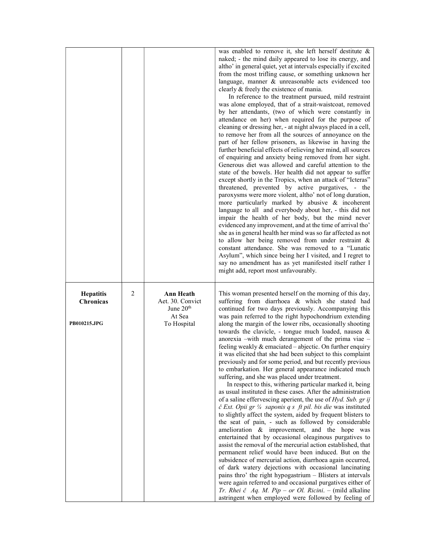|                                                      |                |                                                                              | was enabled to remove it, she left herself destitute $\&$<br>naked; - the mind daily appeared to lose its energy, and<br>altho' in general quiet, yet at intervals especially if excited<br>from the most trifling cause, or something unknown her<br>language, manner & unreasonable acts evidenced too<br>clearly & freely the existence of mania.<br>In reference to the treatment pursued, mild restraint<br>was alone employed, that of a strait-waistcoat, removed<br>by her attendants, (two of which were constantly in<br>attendance on her) when required for the purpose of<br>cleaning or dressing her, - at night always placed in a cell,<br>to remove her from all the sources of annoyance on the<br>part of her fellow prisoners, as likewise in having the<br>further beneficial effects of relieving her mind, all sources<br>of enquiring and anxiety being removed from her sight.<br>Generous diet was allowed and careful attention to the<br>state of the bowels. Her health did not appear to suffer<br>except shortly in the Tropics, when an attack of "Icteras"<br>threatened, prevented by active purgatives, - the<br>paroxysms were more violent, altho' not of long duration,<br>more particularly marked by abusive & incoherent<br>language to all and everybody about her, - this did not<br>impair the health of her body, but the mind never<br>evidenced any improvement, and at the time of arrival tho'<br>she as in general health her mind was so far affected as not<br>to allow her being removed from under restraint &<br>constant attendance. She was removed to a "Lunatic<br>Asylum", which since being her I visited, and I regret to<br>say no amendment has as yet manifested itself rather I<br>might add, report most unfavourably. |
|------------------------------------------------------|----------------|------------------------------------------------------------------------------|-------------------------------------------------------------------------------------------------------------------------------------------------------------------------------------------------------------------------------------------------------------------------------------------------------------------------------------------------------------------------------------------------------------------------------------------------------------------------------------------------------------------------------------------------------------------------------------------------------------------------------------------------------------------------------------------------------------------------------------------------------------------------------------------------------------------------------------------------------------------------------------------------------------------------------------------------------------------------------------------------------------------------------------------------------------------------------------------------------------------------------------------------------------------------------------------------------------------------------------------------------------------------------------------------------------------------------------------------------------------------------------------------------------------------------------------------------------------------------------------------------------------------------------------------------------------------------------------------------------------------------------------------------------------------------------------------------------------------------------------------------------------------------------------|
| <b>Hepatitis</b><br><b>Chronicas</b><br>PB010215.JPG | $\overline{2}$ | <b>Ann Heath</b><br>Aet. 30. Convict<br>June $20th$<br>At Sea<br>To Hospital | This woman presented herself on the morning of this day,<br>suffering from diarrhoea & which she stated had<br>continued for two days previously. Accompanying this<br>was pain referred to the right hypochondrium extending<br>along the margin of the lower ribs, occasionally shooting<br>towards the clavicle, - tongue much loaded, nausea &<br>anorexia -with much derangement of the prima viae -<br>feeling weakly $\&$ emaciated – abjectic. On further enquiry<br>it was elicited that she had been subject to this complaint<br>previously and for some period, and but recently previous<br>to embarkation. Her general appearance indicated much<br>suffering, and she was placed under treatment.<br>In respect to this, withering particular marked it, being<br>as usual instituted in these cases. After the administration<br>of a saline effervescing aperient, the use of $Hyd$ . Sub. gr ij<br>č Ext. Opii gr 1/4 saponis q s ft pil. bis die was instituted<br>to slightly affect the system, aided by frequent blisters to<br>the seat of pain, - such as followed by considerable<br>amelioration & improvement, and the hope was<br>entertained that by occasional oleaginous purgatives to<br>assist the removal of the mercurial action established, that<br>permanent relief would have been induced. But on the<br>subsidence of mercurial action, diarrhoea again occurred,<br>of dark watery dejections with occasional lancinating<br>pains thro' the right hypogastrium - Blisters at intervals<br>were again referred to and occasional purgatives either of<br>Tr. Rhei č Aq. M. Pip – or Ol. Ricini. – (mild alkaline<br>astringent when employed were followed by feeling of                                                                        |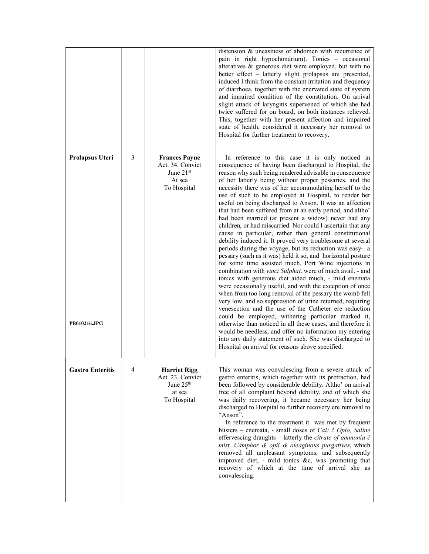|                                 |   |                                                                                 | distension & uneasiness of abdomen with recurrence of<br>pain in right hypochondrium). Tonics - occasional<br>alteratives & generous diet were employed, but with no<br>better effect - latterly slight prolapsus ani presented,<br>induced I think from the constant irritation and frequency<br>of diarrhoea, together with the enervated state of system<br>and impaired condition of the constitution. On arrival<br>slight attack of laryngitis supervened of which she had<br>twice suffered for on board, on both instances relieved.<br>This, together with her present affection and impaired<br>state of health, considered it necessary her removal to<br>Hospital for further treatment to recovery.                                                                                                                                                                                                                                                                                                                                                                                                                                                                                                                                                                                                                                                                                                                                                                                                                                                                 |
|---------------------------------|---|---------------------------------------------------------------------------------|----------------------------------------------------------------------------------------------------------------------------------------------------------------------------------------------------------------------------------------------------------------------------------------------------------------------------------------------------------------------------------------------------------------------------------------------------------------------------------------------------------------------------------------------------------------------------------------------------------------------------------------------------------------------------------------------------------------------------------------------------------------------------------------------------------------------------------------------------------------------------------------------------------------------------------------------------------------------------------------------------------------------------------------------------------------------------------------------------------------------------------------------------------------------------------------------------------------------------------------------------------------------------------------------------------------------------------------------------------------------------------------------------------------------------------------------------------------------------------------------------------------------------------------------------------------------------------|
| Prolapsus Uteri<br>PB010216.JPG | 3 | <b>Frances Payne</b><br>Aet. 34. Convict<br>June 21st<br>At sea<br>To Hospital  | In reference to this case it is only noticed in<br>consequence of having been discharged to Hospital, the<br>reason why such being rendered advisable in consequence<br>of her latterly being without proper pessaries, and the<br>necessity there was of her accommodating herself to the<br>use of such to be employed at Hospital, to render her<br>useful on being discharged to Anson. It was an affection<br>that had been suffered from at an early period, and altho'<br>had been married (at present a widow) never had any<br>children, or had miscarried. Nor could I ascertain that any<br>cause in particular, rather than general constitutional<br>debility induced it. It proved very troublesome at several<br>periods during the voyage, but its reduction was easy- a<br>pessary (such as it was) held it so, and horizontal posture<br>for some time assisted much. Port Wine injections in<br>combination with vinci Sulphat. were of much avail, - and<br>tonics with generous diet aided much, - mild enemata<br>were occasionally useful, and with the exception of once<br>when from too long removal of the pessary the womb fell<br>very low, and so suppression of urine returned, requiring<br>venesection and the use of the Catheter ere reduction<br>could be employed, withering particular marked it,<br>otherwise than noticed in all these cases, and therefore it<br>would be needless, and offer no information my entering<br>into any daily statement of such. She was discharged to<br>Hospital on arrival for reasons above specified. |
| <b>Gastro Enteritis</b>         | 4 | <b>Harriet Rigg</b><br>Aet. 23. Convict<br>June $25th$<br>at sea<br>To Hospital | This woman was convalescing from a severe attack of<br>gastro enteritis, which together with its protraction, had<br>been followed by considerable debility. Altho' on arrival<br>free of all complaint beyond debility, and of which she<br>was daily recovering, it became necessary her being<br>discharged to Hospital to further recovery ere removal to<br>"Anson".<br>In reference to the treatment it was met by frequent<br>blisters – enemata, - small doses of <i>Cal: č Opio</i> , <i>Saline</i><br>effervescing draughts $-$ latterly the <i>citrate of ammonia</i> $\check{c}$<br>mist. Camphor & opii & oleaginous purgatives, which<br>removed all unpleasant symptoms, and subsequently<br>improved diet, - mild tonics &c, was promoting that<br>recovery of which at the time of arrival she as<br>convalescing.                                                                                                                                                                                                                                                                                                                                                                                                                                                                                                                                                                                                                                                                                                                                              |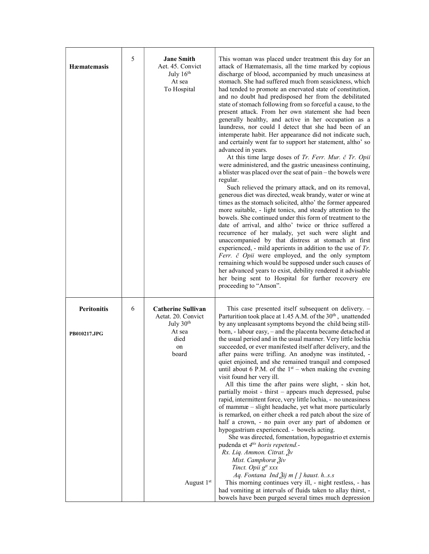| Hæmatemasis  | 5 | <b>Jane Smith</b><br>Aet. 45. Convict<br>July $16th$<br>At sea<br>To Hospital | This woman was placed under treatment this day for an<br>attack of Hæmatemasis, all the time marked by copious<br>discharge of blood, accompanied by much uneasiness at<br>stomach. She had suffered much from seasickness, which<br>had tended to promote an enervated state of constitution,<br>and no doubt had predisposed her from the debilitated<br>state of stomach following from so forceful a cause, to the<br>present attack. From her own statement she had been<br>generally healthy, and active in her occupation as a<br>laundress, nor could I detect that she had been of an<br>intemperate habit. Her appearance did not indicate such,<br>and certainly went far to support her statement, altho' so<br>advanced in years.<br>At this time large doses of Tr. Ferr. Mur. č Tr. Opii<br>were administered, and the gastric uneasiness continuing,<br>a blister was placed over the seat of pain - the bowels were<br>regular.<br>Such relieved the primary attack, and on its removal,<br>generous diet was directed, weak brandy, water or wine at<br>times as the stomach solicited, altho' the former appeared<br>more suitable, - light tonics, and steady attention to the<br>bowels. She continued under this form of treatment to the<br>date of arrival, and altho' twice or thrice suffered a<br>recurrence of her malady, yet such were slight and<br>unaccompanied by that distress at stomach at first<br>experienced, - mild aperients in addition to the use of $Tr$ .<br>Ferr. č Opii were employed, and the only symptom<br>remaining which would be supposed under such causes of<br>her advanced years to exist, debility rendered it advisable<br>her being sent to Hospital for further recovery ere<br>proceeding to "Anson". |
|--------------|---|-------------------------------------------------------------------------------|-----------------------------------------------------------------------------------------------------------------------------------------------------------------------------------------------------------------------------------------------------------------------------------------------------------------------------------------------------------------------------------------------------------------------------------------------------------------------------------------------------------------------------------------------------------------------------------------------------------------------------------------------------------------------------------------------------------------------------------------------------------------------------------------------------------------------------------------------------------------------------------------------------------------------------------------------------------------------------------------------------------------------------------------------------------------------------------------------------------------------------------------------------------------------------------------------------------------------------------------------------------------------------------------------------------------------------------------------------------------------------------------------------------------------------------------------------------------------------------------------------------------------------------------------------------------------------------------------------------------------------------------------------------------------------------------------------------------------------------------------------------------------|
| Peritonitis  | 6 | <b>Catherine Sullivan</b><br>Aetat. 20. Convict<br>July 30 <sup>th</sup>      | This case presented itself subsequent on delivery. -<br>Parturition took place at 1.45 A.M. of the 30 <sup>th</sup> , unattended<br>by any unpleasant symptoms beyond the child being still-                                                                                                                                                                                                                                                                                                                                                                                                                                                                                                                                                                                                                                                                                                                                                                                                                                                                                                                                                                                                                                                                                                                                                                                                                                                                                                                                                                                                                                                                                                                                                                          |
| PB010217.JPG |   | At sea<br>died                                                                | born, - labour easy, - and the placenta became detached at<br>the usual period and in the usual manner. Very little lochia<br>succeeded, or ever manifested itself after delivery, and the                                                                                                                                                                                                                                                                                                                                                                                                                                                                                                                                                                                                                                                                                                                                                                                                                                                                                                                                                                                                                                                                                                                                                                                                                                                                                                                                                                                                                                                                                                                                                                            |
|              |   | on<br>board                                                                   | after pains were trifling. An anodyne was instituted, -<br>quiet enjoined, and she remained tranquil and composed                                                                                                                                                                                                                                                                                                                                                                                                                                                                                                                                                                                                                                                                                                                                                                                                                                                                                                                                                                                                                                                                                                                                                                                                                                                                                                                                                                                                                                                                                                                                                                                                                                                     |
|              |   |                                                                               | until about 6 P.M. of the $1st$ – when making the evening<br>visit found her very ill.<br>All this time the after pains were slight, - skin hot,                                                                                                                                                                                                                                                                                                                                                                                                                                                                                                                                                                                                                                                                                                                                                                                                                                                                                                                                                                                                                                                                                                                                                                                                                                                                                                                                                                                                                                                                                                                                                                                                                      |
|              |   |                                                                               | partially moist - thirst – appears much depressed, pulse<br>rapid, intermittent force, very little lochia, - no uneasiness<br>of mammæ – slight headache, yet what more particularly                                                                                                                                                                                                                                                                                                                                                                                                                                                                                                                                                                                                                                                                                                                                                                                                                                                                                                                                                                                                                                                                                                                                                                                                                                                                                                                                                                                                                                                                                                                                                                                  |
|              |   |                                                                               | is remarked, on either cheek a red patch about the size of<br>half a crown, - no pain over any part of abdomen or<br>hypogastrium experienced. - bowels acting.                                                                                                                                                                                                                                                                                                                                                                                                                                                                                                                                                                                                                                                                                                                                                                                                                                                                                                                                                                                                                                                                                                                                                                                                                                                                                                                                                                                                                                                                                                                                                                                                       |
|              |   |                                                                               | She was directed, fomentation, hypogastrio et externis<br>pudenda et 4tis horis repetend.-                                                                                                                                                                                                                                                                                                                                                                                                                                                                                                                                                                                                                                                                                                                                                                                                                                                                                                                                                                                                                                                                                                                                                                                                                                                                                                                                                                                                                                                                                                                                                                                                                                                                            |
|              |   |                                                                               | Rx. Liq. Ammon. Citrat. Ѯv<br>Mist. Camphoræ Živ<br>Tinct. Opii g <sup>tt</sup> xxx                                                                                                                                                                                                                                                                                                                                                                                                                                                                                                                                                                                                                                                                                                                                                                                                                                                                                                                                                                                                                                                                                                                                                                                                                                                                                                                                                                                                                                                                                                                                                                                                                                                                                   |
|              |   | August 1 <sup>st</sup>                                                        | Aq. Fontana Ind $\tilde{A}$ ij m [] haust. hs.s<br>This morning continues very ill, - night restless, - has<br>had vomiting at intervals of fluids taken to allay thirst, -<br>bowels have been purged several times much depression                                                                                                                                                                                                                                                                                                                                                                                                                                                                                                                                                                                                                                                                                                                                                                                                                                                                                                                                                                                                                                                                                                                                                                                                                                                                                                                                                                                                                                                                                                                                  |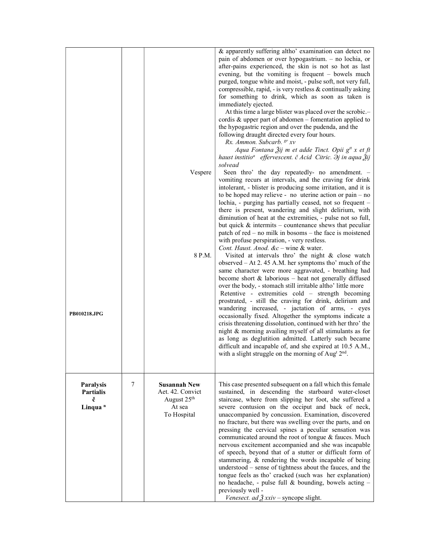| PB010218.JPG                                                     |   | Vespere<br>8 P.M.                                                                           | & apparently suffering altho' examination can detect no<br>pain of abdomen or over hypogastrium. - no lochia, or<br>after-pains experienced, the skin is not so hot as last<br>evening, but the vomiting is frequent - bowels much<br>purged, tongue white and moist, - pulse soft, not very full,<br>compressible, rapid, - is very restless $\&$ continually asking<br>for something to drink, which as soon as taken is<br>immediately ejected.<br>At this time a large blister was placed over the scrobic.-<br>cordis $\&$ upper part of abdomen – fomentation applied to<br>the hypogastric region and over the pudenda, and the<br>following draught directed every four hours.<br>Rx. Ammon. Subcarb. <sup>gr</sup> xv<br>Aqua Fontana Žij m et adde Tinct. Opii g <sup>tt</sup> x et ft<br>haust institio <sup>a</sup> effervescent. č Acid Citric. $\partial j$ in aqua $\tilde{Z}$ ij<br>solvead<br>Seen thro' the day repeatedly- no amendment. -<br>vomiting recurs at intervals, and the craving for drink<br>intolerant, - blister is producing some irritation, and it is<br>to be hoped may relieve - no uterine action or $pain - no$<br>lochia, - purging has partially ceased, not so frequent -<br>there is present, wandering and slight delirium, with<br>diminution of heat at the extremities, - pulse not so full,<br>but quick $\&$ intermits – countenance shews that peculiar<br>patch of red $-$ no milk in bosoms $-$ the face is moistened<br>with profuse perspiration, - very restless.<br>Cont. Haust. Anod. &c - wine & water.<br>Visited at intervals thro' the night & close watch<br>observed $-$ At 2.45 A.M. her symptoms tho' much of the<br>same character were more aggravated, - breathing had<br>become short $\&$ laborious – heat not generally diffused<br>over the body, - stomach still irritable altho' little more<br>Retentive - extremities cold – strength becoming<br>prostrated, - still the craving for drink, delirium and<br>wandering increased, - jactation of arms, - eyes<br>occasionally fixed. Altogether the symptoms indicate a<br>crisis threatening dissolution, continued with her thro' the<br>night & morning availing myself of all stimulants as for |
|------------------------------------------------------------------|---|---------------------------------------------------------------------------------------------|----------------------------------------------------------------------------------------------------------------------------------------------------------------------------------------------------------------------------------------------------------------------------------------------------------------------------------------------------------------------------------------------------------------------------------------------------------------------------------------------------------------------------------------------------------------------------------------------------------------------------------------------------------------------------------------------------------------------------------------------------------------------------------------------------------------------------------------------------------------------------------------------------------------------------------------------------------------------------------------------------------------------------------------------------------------------------------------------------------------------------------------------------------------------------------------------------------------------------------------------------------------------------------------------------------------------------------------------------------------------------------------------------------------------------------------------------------------------------------------------------------------------------------------------------------------------------------------------------------------------------------------------------------------------------------------------------------------------------------------------------------------------------------------------------------------------------------------------------------------------------------------------------------------------------------------------------------------------------------------------------------------------------------------------------------------------------------------------------------------------------------------------------------------------------------------------------------------------------------|
|                                                                  |   |                                                                                             | as long as deglutition admitted. Latterly such became<br>difficult and incapable of, and she expired at 10.5 A.M.,<br>with a slight struggle on the morning of Aug <sup>t 2nd</sup> .                                                                                                                                                                                                                                                                                                                                                                                                                                                                                                                                                                                                                                                                                                                                                                                                                                                                                                                                                                                                                                                                                                                                                                                                                                                                                                                                                                                                                                                                                                                                                                                                                                                                                                                                                                                                                                                                                                                                                                                                                                            |
| <b>Paralysis</b><br><b>Partialis</b><br>č<br>Linqua <sup>n</sup> | 7 | <b>Susannah New</b><br>Aet. 42. Convict<br>August 25 <sup>th</sup><br>At sea<br>To Hospital | This case presented subsequent on a fall which this female<br>sustained, in descending the starboard water-closet<br>staircase, where from slipping her foot, she suffered a<br>severe contusion on the occiput and back of neck,<br>unaccompanied by concussion. Examination, discovered<br>no fracture, but there was swelling over the parts, and on<br>pressing the cervical spines a peculiar sensation was<br>communicated around the root of tongue & fauces. Much<br>nervous excitement accompanied and she was incapable<br>of speech, beyond that of a stutter or difficult form of<br>stammering, & rendering the words incapable of being<br>understood – sense of tightness about the fauces, and the<br>tongue feels as tho' cracked (such was her explanation)<br>no headache, - pulse full & bounding, bowels acting -<br>previously well -<br>Venesect. ad $\frac{3}{2}$ xxiv – syncope slight.                                                                                                                                                                                                                                                                                                                                                                                                                                                                                                                                                                                                                                                                                                                                                                                                                                                                                                                                                                                                                                                                                                                                                                                                                                                                                                                 |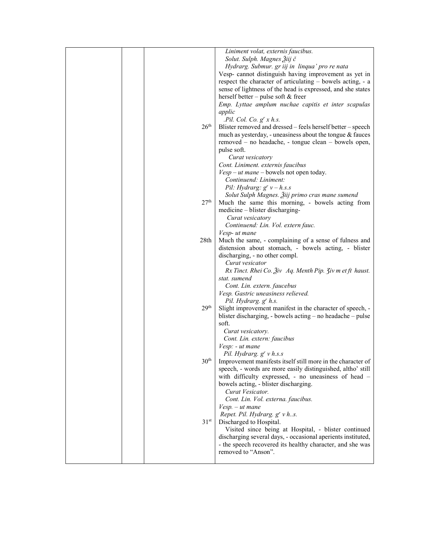|  |                  | Liniment volat, externis faucibus.                                               |
|--|------------------|----------------------------------------------------------------------------------|
|  |                  | Solut. Sulph. Magnes Žiij č                                                      |
|  |                  | Hydrarg. Submur. gr iij in linqua' pro re nata                                   |
|  |                  | Vesp- cannot distinguish having improvement as yet in                            |
|  |                  | respect the character of articulating – bowels acting, - a                       |
|  |                  | sense of lightness of the head is expressed, and she states                      |
|  |                  | herself better – pulse soft $&$ freer                                            |
|  |                  | Emp. Lyttae amplum nuchae capitis et inter scapulas                              |
|  |                  |                                                                                  |
|  |                  | applic                                                                           |
|  |                  | . Pil. Col. Co. g' x h.s.                                                        |
|  | 26 <sup>th</sup> | Blister removed and dressed – feels herself better – speech                      |
|  |                  | much as yesterday, - uneasiness about the tongue & fauces                        |
|  |                  | removed – no headache, - tongue clean – bowels open,                             |
|  |                  | pulse soft.                                                                      |
|  |                  | Curat vesicatory                                                                 |
|  |                  | Cont. Liniment. externis faucibus                                                |
|  |                  | $Vesp - ut$ mane – bowels not open today.                                        |
|  |                  | Continuend: Liniment:                                                            |
|  |                  | Pil: Hydrarg: $g^{r} v - h.s.s$                                                  |
|  |                  | Solut Sulph Magnes. Žiij primo cras mane sumend                                  |
|  | 27 <sup>th</sup> | Much the same this morning, - bowels acting from                                 |
|  |                  | medicine – blister discharging-                                                  |
|  |                  | Curat vesicatory                                                                 |
|  |                  | Continuend: Lin. Vol. extern fauc.                                               |
|  |                  | Vesp- ut mane                                                                    |
|  | 28th             | Much the same, - complaining of a sense of fulness and                           |
|  |                  | distension about stomach, - bowels acting, - blister                             |
|  |                  | discharging, - no other compl.                                                   |
|  |                  | Curat vesicator                                                                  |
|  |                  |                                                                                  |
|  |                  | $Rx$ Tinct. Rhei Co. $\tilde{A}$ iv Aq. Menth Pip. $\tilde{A}$ iv m et ft haust. |
|  |                  | stat. sumend                                                                     |
|  |                  | Cont. Lin. extern. faucebus                                                      |
|  |                  | Vesp. Gastric uneasiness relieved.                                               |
|  |                  | Pil. Hydrarg. g <sup>r</sup> h.s.                                                |
|  | 29 <sup>th</sup> | Slight improvement manifest in the character of speech, -                        |
|  |                  | blister discharging, - bowels acting – no headache – pulse                       |
|  |                  | soft.                                                                            |
|  |                  | Curat vesicatory.                                                                |
|  |                  | Cont. Lin. extern: faucibus                                                      |
|  |                  | Vesp: - ut mane                                                                  |
|  |                  | Pil. Hydrarg. $g^{r} v h.s.s$                                                    |
|  | 30 <sup>th</sup> | Improvement manifests itself still more in the character of                      |
|  |                  | speech, - words are more easily distinguished, altho' still                      |
|  |                  | with difficulty expressed, - no uneasiness of head -                             |
|  |                  | bowels acting, - blister discharging.                                            |
|  |                  | Curat Vesicator.                                                                 |
|  |                  | Cont. Lin. Vol. externa. faucibus.                                               |
|  |                  | $Vesp. - ut$ mane                                                                |
|  |                  | Repet. Pil. Hydrarg. g' v hs.                                                    |
|  | 31 <sup>st</sup> | Discharged to Hospital.                                                          |
|  |                  | Visited since being at Hospital, - blister continued                             |
|  |                  | discharging several days, - occasional aperients instituted,                     |
|  |                  | - the speech recovered its healthy character, and she was                        |
|  |                  |                                                                                  |
|  |                  | removed to "Anson".                                                              |
|  |                  |                                                                                  |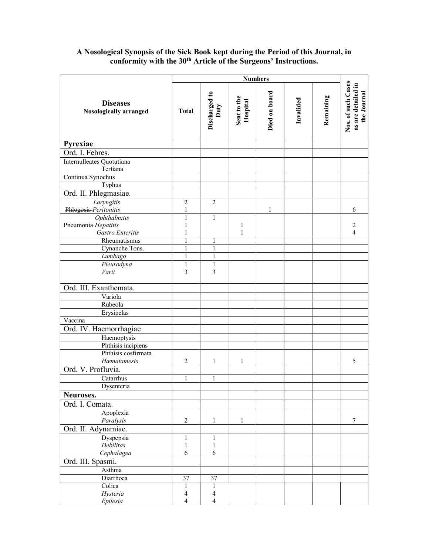## A Nosological Synopsis of the Sick Book kept during the Period of this Journal, in conformity with the 30<sup>th</sup> Article of the Surgeons' Instructions.

|                                                  |                | <b>Numbers</b>        |                         |               |           |           |                                                         |
|--------------------------------------------------|----------------|-----------------------|-------------------------|---------------|-----------|-----------|---------------------------------------------------------|
| <b>Diseases</b><br><b>Nosologically arranged</b> | <b>Total</b>   | Discharged to<br>Duty | Sent to the<br>Hospital | Died on board | Invalided | Remaining | Nos. of such Cases<br>as are detailed in<br>the Journal |
| Pyrexiae                                         |                |                       |                         |               |           |           |                                                         |
| Ord. I. Febres.                                  |                |                       |                         |               |           |           |                                                         |
| Internulleates Quotutiana<br>Tertiana            |                |                       |                         |               |           |           |                                                         |
| Continua Synochus                                |                |                       |                         |               |           |           |                                                         |
| Typhus                                           |                |                       |                         |               |           |           |                                                         |
| Ord. II. Phlegmasiae.                            |                |                       |                         |               |           |           |                                                         |
| Laryngitis                                       | $\overline{2}$ | $\overline{2}$        |                         |               |           |           |                                                         |
| Phlogosis-Peritonitis                            | $\mathbf{1}$   |                       |                         | $\mathbf{1}$  |           |           | 6                                                       |
| Ophthalmitis                                     | $\mathbf{1}$   | $\mathbf{1}$          |                         |               |           |           |                                                         |
| Pneumonia Hepatitis<br>Gastro Enteritis          | 1<br>1         |                       | $\mathbf{1}$<br>1       |               |           |           | $\sqrt{2}$<br>$\overline{\mathcal{L}}$                  |
| Rheumatismus                                     | $\mathbf{1}$   | 1                     |                         |               |           |           |                                                         |
| Cynanche Tons.                                   | $\mathbf{1}$   | $\mathbf{1}$          |                         |               |           |           |                                                         |
| Lumbago                                          | $\mathbf{1}$   | $\mathbf{1}$          |                         |               |           |           |                                                         |
| Pleurodyna                                       | $\mathbf{1}$   | $\mathbf{1}$          |                         |               |           |           |                                                         |
| Varii                                            | 3              | 3                     |                         |               |           |           |                                                         |
|                                                  |                |                       |                         |               |           |           |                                                         |
| Ord. III. Exanthemata.                           |                |                       |                         |               |           |           |                                                         |
| Variola                                          |                |                       |                         |               |           |           |                                                         |
| Rubeola                                          |                |                       |                         |               |           |           |                                                         |
| Erysipelas                                       |                |                       |                         |               |           |           |                                                         |
| Vaccina                                          |                |                       |                         |               |           |           |                                                         |
| Ord. IV. Haemorrhagiae                           |                |                       |                         |               |           |           |                                                         |
| Haemoptysis                                      |                |                       |                         |               |           |           |                                                         |
| Phthisis incipiens                               |                |                       |                         |               |           |           |                                                         |
| Phthisis cosfirmata                              |                |                       |                         |               |           |           |                                                         |
| Hæmatamesis                                      | 2              | $\mathbf{1}$          | 1                       |               |           |           | 5                                                       |
| Ord. V. Profluvia.                               |                |                       |                         |               |           |           |                                                         |
| Catarrhus                                        | $\mathbf{1}$   | $\mathbf{1}$          |                         |               |           |           |                                                         |
| Dysenteria                                       |                |                       |                         |               |           |           |                                                         |
| Neuroses.                                        |                |                       |                         |               |           |           |                                                         |
| Ord. I. Comata.                                  |                |                       |                         |               |           |           |                                                         |
| Apoplexia                                        |                |                       |                         |               |           |           |                                                         |
| Paralysis                                        | $\sqrt{2}$     | $\mathbf{1}$          | $\mathbf{1}$            |               |           |           | $\boldsymbol{7}$                                        |
| Ord. II. Adynamiae.                              |                |                       |                         |               |           |           |                                                         |
| Dyspepsia                                        | $\mathbf{1}$   | $\mathbf{1}$          |                         |               |           |           |                                                         |
| Debilitas                                        | $\,1$<br>6     | $\mathbf{1}$<br>6     |                         |               |           |           |                                                         |
| Cephalagea                                       |                |                       |                         |               |           |           |                                                         |
| Ord. III. Spasmi.                                |                |                       |                         |               |           |           |                                                         |
| Asthma<br>Diarrhoea                              | 37             | 37                    |                         |               |           |           |                                                         |
| Colica                                           | $\mathbf{1}$   | $\mathbf{1}$          |                         |               |           |           |                                                         |
| Hysteria                                         | 4              | 4                     |                         |               |           |           |                                                         |
| Epilesia                                         | 4              | 4                     |                         |               |           |           |                                                         |
|                                                  |                |                       |                         |               |           |           |                                                         |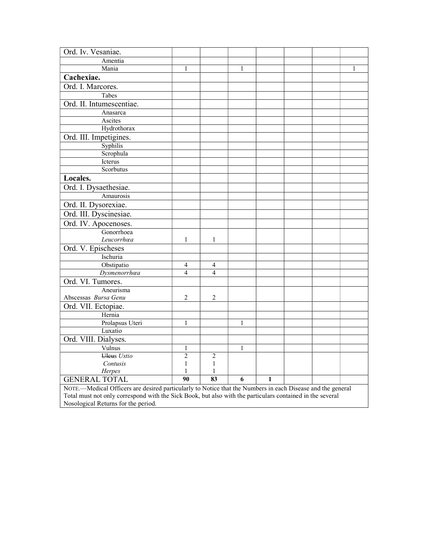| Ord. Iv. Vesaniae.                                                                                         |                |              |              |              |  |   |
|------------------------------------------------------------------------------------------------------------|----------------|--------------|--------------|--------------|--|---|
| Amentia                                                                                                    |                |              |              |              |  |   |
| Mania                                                                                                      | 1              |              | 1            |              |  | 1 |
| Cachexiae.                                                                                                 |                |              |              |              |  |   |
| Ord. I. Marcores.                                                                                          |                |              |              |              |  |   |
| Tabes                                                                                                      |                |              |              |              |  |   |
| Ord. II. Intumescentiae.                                                                                   |                |              |              |              |  |   |
| Anasarca                                                                                                   |                |              |              |              |  |   |
| Ascites                                                                                                    |                |              |              |              |  |   |
| Hydrothorax                                                                                                |                |              |              |              |  |   |
| Ord. III. Impetigines.                                                                                     |                |              |              |              |  |   |
| Syphilis                                                                                                   |                |              |              |              |  |   |
| Scrophula                                                                                                  |                |              |              |              |  |   |
| Icterus                                                                                                    |                |              |              |              |  |   |
| Scorbutus                                                                                                  |                |              |              |              |  |   |
| Locales.                                                                                                   |                |              |              |              |  |   |
| Ord. I. Dysaethesiae.                                                                                      |                |              |              |              |  |   |
| Amaurosis                                                                                                  |                |              |              |              |  |   |
| Ord. II. Dysorexiae.                                                                                       |                |              |              |              |  |   |
| Ord. III. Dyscinesiae.                                                                                     |                |              |              |              |  |   |
| Ord. IV. Apocenoses.                                                                                       |                |              |              |              |  |   |
| Gonorrhoea                                                                                                 |                |              |              |              |  |   |
| Leucorrhœa                                                                                                 | 1              | 1            |              |              |  |   |
| Ord. V. Epischeses                                                                                         |                |              |              |              |  |   |
| Ischuria                                                                                                   |                |              |              |              |  |   |
| Obstipatio                                                                                                 | 4              | 4            |              |              |  |   |
| Dysmenorrhœa                                                                                               | 4              | 4            |              |              |  |   |
| Ord. VI. Tumores.                                                                                          |                |              |              |              |  |   |
| Aneurisma                                                                                                  |                |              |              |              |  |   |
| Abscessas Bursa Genu                                                                                       | 2              | 2            |              |              |  |   |
| Ord. VII. Ectopiae.                                                                                        |                |              |              |              |  |   |
| Hernia                                                                                                     |                |              |              |              |  |   |
| Prolapsus Uteri                                                                                            | $\mathbf{1}$   |              | $\mathbf{1}$ |              |  |   |
| Luxatio                                                                                                    |                |              |              |              |  |   |
| Ord. VIII. Dialyses.                                                                                       |                |              |              |              |  |   |
| Vulnus                                                                                                     | 1              |              | $\mathbf{1}$ |              |  |   |
| Uleus Ustio                                                                                                | $\overline{c}$ | 2            |              |              |  |   |
| Contusis                                                                                                   | $\mathbf{1}$   | $\mathbf{1}$ |              |              |  |   |
| Herpes                                                                                                     | 1              | 1            |              |              |  |   |
| <b>GENERAL TOTAL</b>                                                                                       | 90             | 83           | 6            | $\mathbf{1}$ |  |   |
| NOTE.-Medical Officers are desired particularly to Notice that the Numbers in each Disease and the general |                |              |              |              |  |   |
| Total must not only correspond with the Sick Book, but also with the particulars contained in the several  |                |              |              |              |  |   |
| Nosological Returns for the period.                                                                        |                |              |              |              |  |   |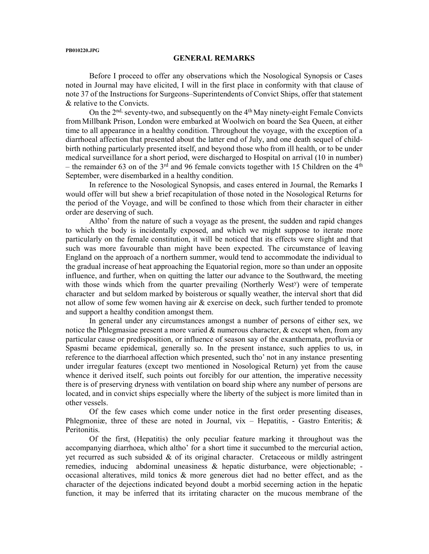#### PB010220.JPG

#### GENERAL REMARKS

Before I proceed to offer any observations which the Nosological Synopsis or Cases noted in Journal may have elicited, I will in the first place in conformity with that clause of note 37 of the Instructions for Surgeons–Superintendents of Convict Ships, offer that statement & relative to the Convicts.

On the 2<sup>nd,</sup> seventy-two, and subsequently on the 4<sup>th</sup> May ninety-eight Female Convicts from Millbank Prison, London were embarked at Woolwich on board the Sea Queen, at either time to all appearance in a healthy condition. Throughout the voyage, with the exception of a diarrhoeal affection that presented about the latter end of July, and one death sequel of childbirth nothing particularly presented itself, and beyond those who from ill health, or to be under medical surveillance for a short period, were discharged to Hospital on arrival (10 in number) – the remainder 63 on of the  $3<sup>rd</sup>$  and 96 female convicts together with 15 Children on the  $4<sup>th</sup>$ September, were disembarked in a healthy condition.

In reference to the Nosological Synopsis, and cases entered in Journal, the Remarks I would offer will but shew a brief recapitulation of those noted in the Nosological Returns for the period of the Voyage, and will be confined to those which from their character in either order are deserving of such.

Altho' from the nature of such a voyage as the present, the sudden and rapid changes to which the body is incidentally exposed, and which we might suppose to iterate more particularly on the female constitution, it will be noticed that its effects were slight and that such was more favourable than might have been expected. The circumstance of leaving England on the approach of a northern summer, would tend to accommodate the individual to the gradual increase of heat approaching the Equatorial region, more so than under an opposite influence, and further, when on quitting the latter our advance to the Southward, the meeting with those winds which from the quarter prevailing (Northerly West<sup>y</sup>) were of temperate character and but seldom marked by boisterous or squally weather, the interval short that did not allow of some few women having air & exercise on deck, such further tended to promote and support a healthy condition amongst them.

In general under any circumstances amongst a number of persons of either sex, we notice the Phlegmasiae present a more varied  $\&$  numerous character,  $\&$  except when, from any particular cause or predisposition, or influence of season say of the exanthemata, profluvia or Spasmi became epidemical, generally so. In the present instance, such applies to us, in reference to the diarrhoeal affection which presented, such tho' not in any instance presenting under irregular features (except two mentioned in Nosological Return) yet from the cause whence it derived itself, such points out forcibly for our attention, the imperative necessity there is of preserving dryness with ventilation on board ship where any number of persons are located, and in convict ships especially where the liberty of the subject is more limited than in other vessels.

Of the few cases which come under notice in the first order presenting diseases, Phlegmoniæ, three of these are noted in Journal, vix – Hepatitis, - Gastro Enteritis;  $\&$ Peritonitis.

Of the first, (Hepatitis) the only peculiar feature marking it throughout was the accompanying diarrhoea, which altho' for a short time it succumbed to the mercurial action, yet recurred as such subsided  $\&$  of its original character. Cretaceous or mildly astringent remedies, inducing abdominal uneasiness & hepatic disturbance, were objectionable; occasional alteratives, mild tonics & more generous diet had no better effect, and as the character of the dejections indicated beyond doubt a morbid secerning action in the hepatic function, it may be inferred that its irritating character on the mucous membrane of the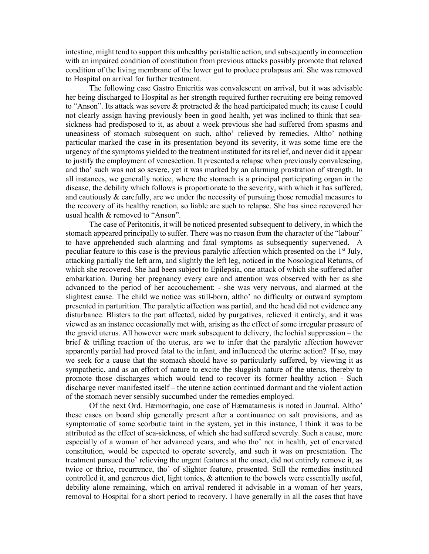intestine, might tend to support this unhealthy peristaltic action, and subsequently in connection with an impaired condition of constitution from previous attacks possibly promote that relaxed condition of the living membrane of the lower gut to produce prolapsus ani. She was removed to Hospital on arrival for further treatment.

The following case Gastro Enteritis was convalescent on arrival, but it was advisable her being discharged to Hospital as her strength required further recruiting ere being removed to "Anson". Its attack was severe  $\&$  protracted  $\&$  the head participated much; its cause I could not clearly assign having previously been in good health, yet was inclined to think that seasickness had predisposed to it, as about a week previous she had suffered from spasms and uneasiness of stomach subsequent on such, altho' relieved by remedies. Altho' nothing particular marked the case in its presentation beyond its severity, it was some time ere the urgency of the symptoms yielded to the treatment instituted for its relief, and never did it appear to justify the employment of venesection. It presented a relapse when previously convalescing, and tho' such was not so severe, yet it was marked by an alarming prostration of strength. In all instances, we generally notice, where the stomach is a principal participating organ in the disease, the debility which follows is proportionate to the severity, with which it has suffered, and cautiously  $&$  carefully, are we under the necessity of pursuing those remedial measures to the recovery of its healthy reaction, so liable are such to relapse. She has since recovered her usual health & removed to "Anson".

The case of Peritonitis, it will be noticed presented subsequent to delivery, in which the stomach appeared principally to suffer. There was no reason from the character of the "labour" to have apprehended such alarming and fatal symptoms as subsequently supervened. A peculiar feature to this case is the previous paralytic affection which presented on the 1<sup>st</sup> July, attacking partially the left arm, and slightly the left leg, noticed in the Nosological Returns, of which she recovered. She had been subject to Epilepsia, one attack of which she suffered after embarkation. During her pregnancy every care and attention was observed with her as she advanced to the period of her accouchement; - she was very nervous, and alarmed at the slightest cause. The child we notice was still-born, altho' no difficulty or outward symptom presented in parturition. The paralytic affection was partial, and the head did not evidence any disturbance. Blisters to the part affected, aided by purgatives, relieved it entirely, and it was viewed as an instance occasionally met with, arising as the effect of some irregular pressure of the gravid uterus. All however were mark subsequent to delivery, the lochial suppression – the brief & trifling reaction of the uterus, are we to infer that the paralytic affection however apparently partial had proved fatal to the infant, and influenced the uterine action? If so, may we seek for a cause that the stomach should have so particularly suffered, by viewing it as sympathetic, and as an effort of nature to excite the sluggish nature of the uterus, thereby to promote those discharges which would tend to recover its former healthy action - Such discharge never manifested itself – the uterine action continued dormant and the violent action of the stomach never sensibly succumbed under the remedies employed.

Of the next Ord. Hæmorrhagia, one case of Hæmatamesis is noted in Journal. Altho' these cases on board ship generally present after a continuance on salt provisions, and as symptomatic of some scorbutic taint in the system, yet in this instance, I think it was to be attributed as the effect of sea-sickness, of which she had suffered severely. Such a cause, more especially of a woman of her advanced years, and who tho' not in health, yet of enervated constitution, would be expected to operate severely, and such it was on presentation. The treatment pursued tho' relieving the urgent features at the onset, did not entirely remove it, as twice or thrice, recurrence, tho' of slighter feature, presented. Still the remedies instituted controlled it, and generous diet, light tonics, & attention to the bowels were essentially useful, debility alone remaining, which on arrival rendered it advisable in a woman of her years, removal to Hospital for a short period to recovery. I have generally in all the cases that have